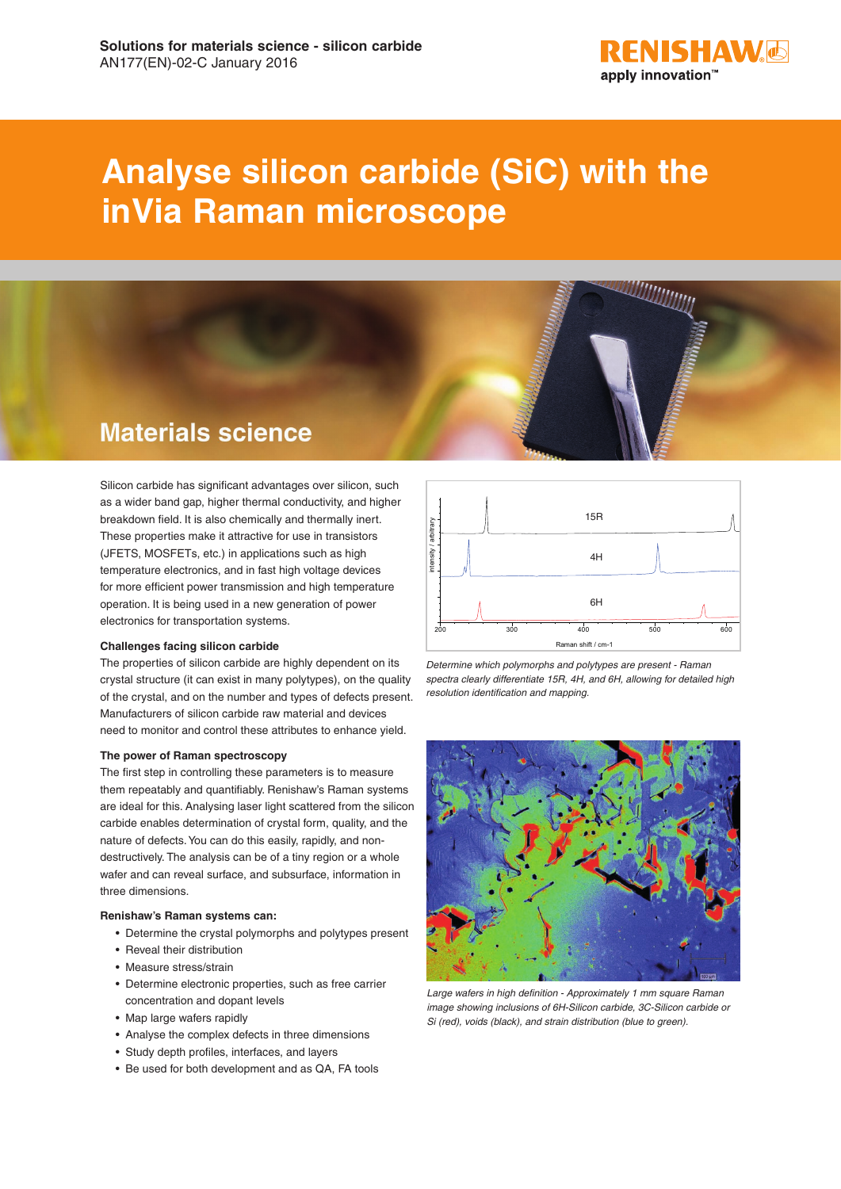

# **Analyse silicon carbide (SiC) with the inVia Raman microscope**



Silicon carbide has significant advantages over silicon, such as a wider band gap, higher thermal conductivity, and higher breakdown field. It is also chemically and thermally inert. These properties make it attractive for use in transistors (JFETS, MOSFETs, etc.) in applications such as high temperature electronics, and in fast high voltage devices for more efficient power transmission and high temperature operation. It is being used in a new generation of power electronics for transportation systems.

## **Challenges facing silicon carbide**

The properties of silicon carbide are highly dependent on its crystal structure (it can exist in many polytypes), on the quality of the crystal, and on the number and types of defects present. Manufacturers of silicon carbide raw material and devices need to monitor and control these attributes to enhance yield.

#### **The power of Raman spectroscopy**

The first step in controlling these parameters is to measure them repeatably and quantifiably. Renishaw's Raman systems are ideal for this. Analysing laser light scattered from the silicon carbide enables determination of crystal form, quality, and the nature of defects. You can do this easily, rapidly, and nondestructively. The analysis can be of a tiny region or a whole wafer and can reveal surface, and subsurface, information in three dimensions.

#### **Renishaw's Raman systems can:**

- Determine the crystal polymorphs and polytypes present
- Reveal their distribution
- Measure stress/strain
- Determine electronic properties, such as free carrier concentration and dopant levels
- Map large wafers rapidly
- Analyse the complex defects in three dimensions
- Study depth profiles, interfaces, and layers
- Be used for both development and as QA, FA tools



*Determine which polymorphs and polytypes are present - Raman spectra clearly differentiate 15R, 4H, and 6H, allowing for detailed high resolution identification and mapping.*



*Large wafers in high definition - Approximately 1 mm square Raman image showing inclusions of 6H-Silicon carbide, 3C-Silicon carbide or Si (red), voids (black), and strain distribution (blue to green).*